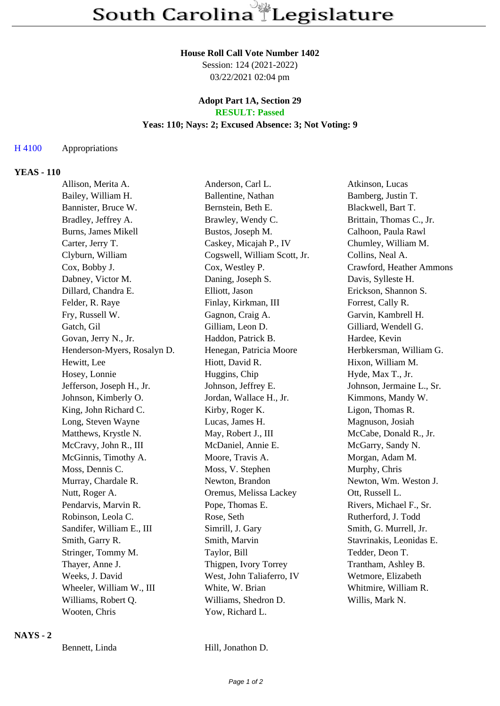#### **House Roll Call Vote Number 1402**

Session: 124 (2021-2022) 03/22/2021 02:04 pm

#### **Adopt Part 1A, Section 29 RESULT: Passed**

### **Yeas: 110; Nays: 2; Excused Absence: 3; Not Voting: 9**

## H 4100 Appropriations

## **YEAS - 110**

| Allison, Merita A.          | Anderson, Carl L.            | Atkinson, Lucas           |
|-----------------------------|------------------------------|---------------------------|
| Bailey, William H.          | Ballentine, Nathan           | Bamberg, Justin T.        |
| Bannister, Bruce W.         | Bernstein, Beth E.           | Blackwell, Bart T.        |
| Bradley, Jeffrey A.         | Brawley, Wendy C.            | Brittain, Thomas C., Jr.  |
| <b>Burns, James Mikell</b>  | Bustos, Joseph M.            | Calhoon, Paula Rawl       |
| Carter, Jerry T.            | Caskey, Micajah P., IV       | Chumley, William M.       |
| Clyburn, William            | Cogswell, William Scott, Jr. | Collins, Neal A.          |
| Cox, Bobby J.               | Cox, Westley P.              | Crawford, Heather Ammons  |
| Dabney, Victor M.           | Daning, Joseph S.            | Davis, Sylleste H.        |
| Dillard, Chandra E.         | Elliott, Jason               | Erickson, Shannon S.      |
| Felder, R. Raye             | Finlay, Kirkman, III         | Forrest, Cally R.         |
| Fry, Russell W.             | Gagnon, Craig A.             | Garvin, Kambrell H.       |
| Gatch, Gil                  | Gilliam, Leon D.             | Gilliard, Wendell G.      |
| Govan, Jerry N., Jr.        | Haddon, Patrick B.           | Hardee, Kevin             |
| Henderson-Myers, Rosalyn D. | Henegan, Patricia Moore      | Herbkersman, William G.   |
| Hewitt, Lee                 | Hiott, David R.              | Hixon, William M.         |
| Hosey, Lonnie               | Huggins, Chip                | Hyde, Max T., Jr.         |
| Jefferson, Joseph H., Jr.   | Johnson, Jeffrey E.          | Johnson, Jermaine L., Sr. |
| Johnson, Kimberly O.        | Jordan, Wallace H., Jr.      | Kimmons, Mandy W.         |
| King, John Richard C.       | Kirby, Roger K.              | Ligon, Thomas R.          |
| Long, Steven Wayne          | Lucas, James H.              | Magnuson, Josiah          |
| Matthews, Krystle N.        | May, Robert J., III          | McCabe, Donald R., Jr.    |
| McCravy, John R., III       | McDaniel, Annie E.           | McGarry, Sandy N.         |
| McGinnis, Timothy A.        | Moore, Travis A.             | Morgan, Adam M.           |
| Moss, Dennis C.             | Moss, V. Stephen             | Murphy, Chris             |
| Murray, Chardale R.         | Newton, Brandon              | Newton, Wm. Weston J.     |
| Nutt, Roger A.              | Oremus, Melissa Lackey       | Ott, Russell L.           |
| Pendarvis, Marvin R.        | Pope, Thomas E.              | Rivers, Michael F., Sr.   |
| Robinson, Leola C.          | Rose, Seth                   | Rutherford, J. Todd       |
| Sandifer, William E., III   | Simrill, J. Gary             | Smith, G. Murrell, Jr.    |
| Smith, Garry R.             | Smith, Marvin                | Stavrinakis, Leonidas E.  |
| Stringer, Tommy M.          | Taylor, Bill                 | Tedder, Deon T.           |
| Thayer, Anne J.             | Thigpen, Ivory Torrey        | Trantham, Ashley B.       |
| Weeks, J. David             | West, John Taliaferro, IV    | Wetmore, Elizabeth        |
| Wheeler, William W., III    | White, W. Brian              | Whitmire, William R.      |
| Williams, Robert Q.         | Williams, Shedron D.         | Willis, Mark N.           |
| Wooten, Chris               | Yow, Richard L.              |                           |

#### **NAYS - 2**

Bennett, Linda Hill, Jonathon D.